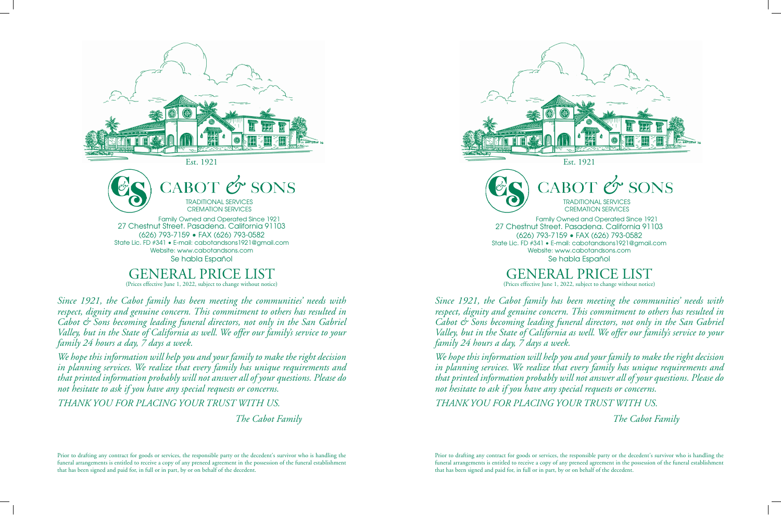

TRADITIONAL SERVICES CREMATION SERVICES

27 Chestnut Street. Pasadena. California 91103 (626) 793-7159 • FAX (626) 793-0582 State Lic. FD #341 • E-mail: cabotandsons1921@gmail.com Website: www.cabotandsons.com Se habla Español Family Owned and Operated Since 1921

# ERAL PRIC

(Prices effective June 1, 2022, subject to change without notice)

*Since 1921, the Cabot family has been meeting the communities' needs with respect, dignity and genuine concern. This commitment to others has resulted in Cabot & Sons becoming leading funeral directors, not only in the San Gabriel Valley, but in the State of California as well. We offer our family's service to your family 24 hours a day, 7 days a week.*

*We hope this information will help you and your family to make the right decision in planning services. We realize that every family has unique requirements and that printed information probably will not answer all of your questions. Please do not hesitate to ask if you have any special requests or concerns.*

*THANK YOU FOR PLACING YOUR TRUST WITH US.*

 *The Cabot Family*

Prior to drafting any contract for goods or services, the responsible party or the decedent's survivor who is handling the funeral arrangements is entitled to receive a copy of any preneed agreement in the possession of the funeral establishment that has been signed and paid for, in full or in part, by or on behalf of the decedent.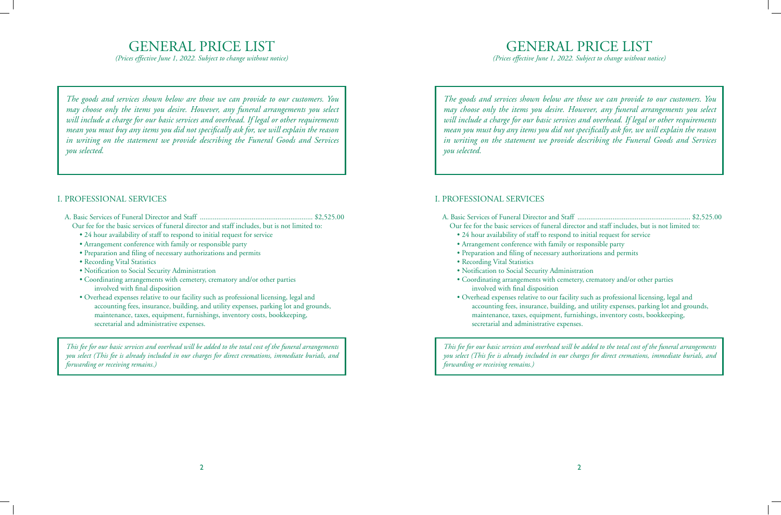# GENERAL PRICE LIST

*(Prices effective June 1, 2022. Subject to change without notice)*

*The goods and services shown below are those we can provide to our customers. You may choose only the items you desire. However, any funeral arrangements you select will include a charge for our basic services and overhead. If legal or other requirements mean you must buy any items you did not specifically ask for, we will explain the reason in writing on the statement we provide describing the Funeral Goods and Services you selected.*

#### I. PROFESSIONAL SERVICES

- A. Basic Services of Funeral Director and Staff ............................................................. \$2,525.00 Our fee for the basic services of funeral director and staff includes, but is not limited to:
	- 24 hour availability of staff to respond to initial request for service
	- Arrangement conference with family or responsible party
	- Preparation and filing of necessary authorizations and permits
	- Recording Vital Statistics
	- Notification to Social Security Administration
	- Coordinating arrangements with cemetery, crematory and/or other parties involved with final disposition
	- Overhead expenses relative to our facility such as professional licensing, legal and accounting fees, insurance, building, and utility expenses, parking lot and grounds, maintenance, taxes, equipment, furnishings, inventory costs, bookkeeping, secretarial and administrative expenses.

*This fee for our basic services and overhead will be added to the total cost of the funeral arrangements you select (This fee is already included in our charges for direct cremations, immediate burials, and forwarding or receiving remains.)*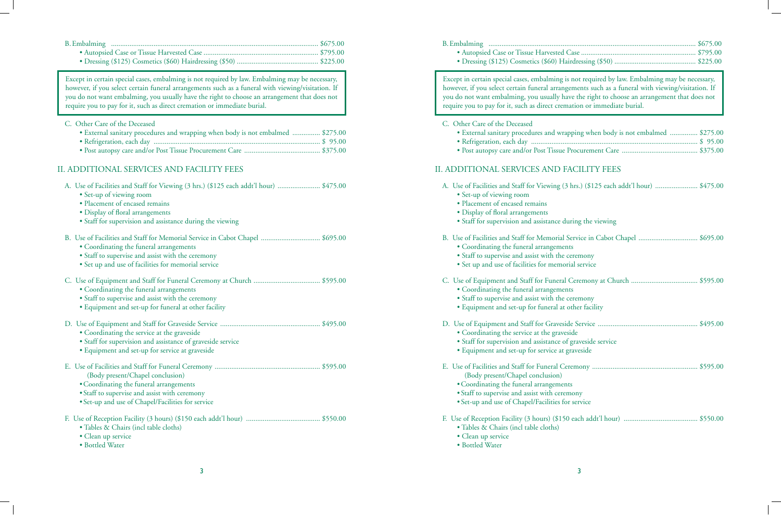Except in certain special cases, embalming is not required by law. Embalming may be necessary, however, if you select certain funeral arrangements such as a funeral with viewing/visitation. If you do not want embalming, you usually have the right to choose an arrangement that does not require you to pay for it, such as direct cremation or immediate burial.

C. Other Care of the Deceased

- External sanitary procedures and wrapping when body is not embalmed ............... \$275.00 • Refrigeration, each day .......................................................................................... \$ 95.00
- Post autopsy care and/or Post Tissue Procurement Care ......................................... \$375.00

## II. ADDITIONAL SERVICES AND FACILITY FEES

| A. Use of Facilities and Staff for Viewing (3 hrs.) (\$125 each addt'l hour)  \$475.00<br>• Set-up of viewing room<br>· Placement of encased remains<br>· Display of floral arrangements<br>· Staff for supervision and assistance during the viewing |
|-------------------------------------------------------------------------------------------------------------------------------------------------------------------------------------------------------------------------------------------------------|
| B. Use of Facilities and Staff for Memorial Service in Cabot Chapel  \$695.00<br>• Coordinating the funeral arrangements<br>• Staff to supervise and assist with the ceremony<br>• Set up and use of facilities for memorial service                  |
| • Coordinating the funeral arrangements<br>• Staff to supervise and assist with the ceremony<br>• Equipment and set-up for funeral at other facility                                                                                                  |
| • Coordinating the service at the graveside<br>• Staff for supervision and assistance of graveside service<br>· Equipment and set-up for service at graveside                                                                                         |
| (Body present/Chapel conclusion)<br>• Coordinating the funeral arrangements<br>• Staff to supervise and assist with ceremony<br>• Set-up and use of Chapel/Facilities for service                                                                     |
| · Tables & Chairs (incl table cloths)<br>• Clean up service<br>· Bottled Water                                                                                                                                                                        |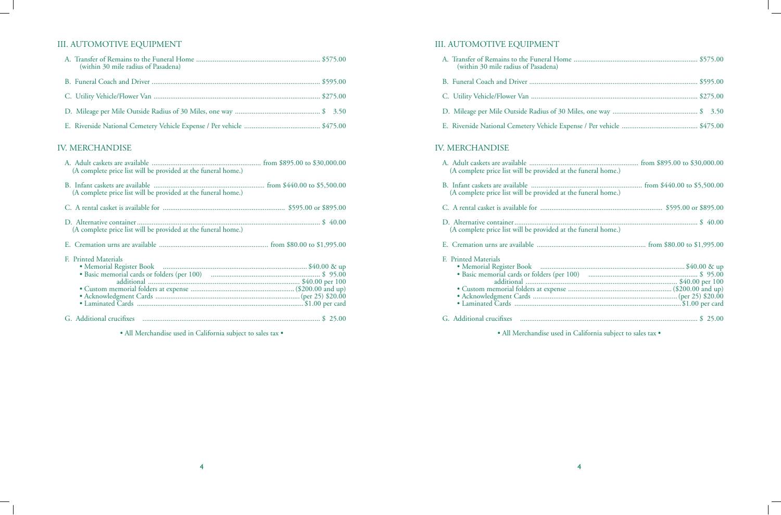## III. AUTOMOTIVE EQUIPMENT

| (within 30 mile radius of Pasadena) |  |
|-------------------------------------|--|
|                                     |  |
|                                     |  |
|                                     |  |
|                                     |  |

## IV. MERCHANDISE

| (A complete price list will be provided at the funeral home.) |  |
|---------------------------------------------------------------|--|
| (A complete price list will be provided at the funeral home.) |  |
|                                                               |  |
| (A complete price list will be provided at the funeral home.) |  |
|                                                               |  |
| F. Printed Materials                                          |  |
|                                                               |  |
|                                                               |  |
|                                                               |  |
|                                                               |  |
|                                                               |  |
|                                                               |  |
|                                                               |  |

• All Merchandise used in California subject to sales tax •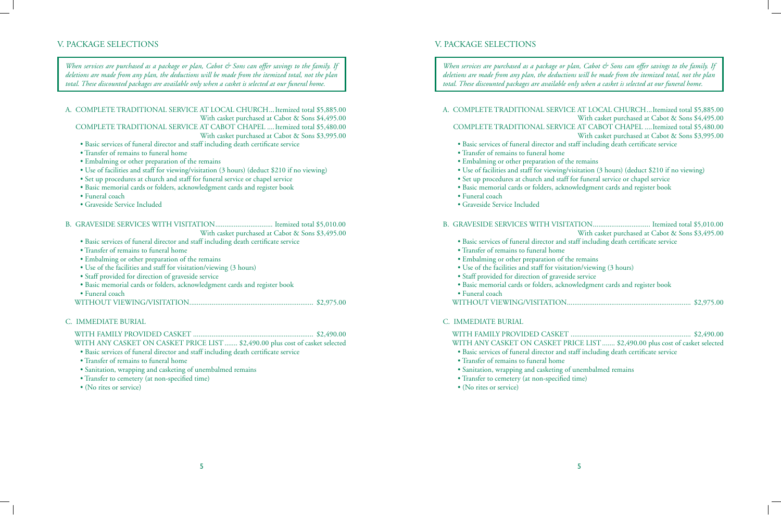*When services are purchased as a package or plan, Cabot & Sons can offer savings to the family. If deletions are made from any plan, the deductions will be made from the itemized total, not the plan total. These discounted packages are available only when a casket is selected at our funeral home.*

A. COMPLETE TRADITIONAL SERVICE AT LOCAL CHURCH...Itemized total \$5,885.00 With casket purchased at Cabot & Sons \$4,495.00 COMPLETE TRADITIONAL SERVICE AT CABOT CHAPEL ....Itemized total \$5,480.00 With casket purchased at Cabot & Sons \$3,995.00

- Basic services of funeral director and staff including death certificate service
- Transfer of remains to funeral home
- Embalming or other preparation of the remains
- Use of facilities and staff for viewing/visitation (3 hours) (deduct \$210 if no viewing)
- Set up procedures at church and staff for funeral service or chapel service
- Basic memorial cards or folders, acknowledgment cards and register book
- Funeral coach
- Graveside Service Included

#### B. GRAVESIDE SERVICES WITH VISITATION............................... Itemized total \$5,010.00 With casket purchased at Cabot & Sons \$3,495.00

- Basic services of funeral director and staff including death certificate service
- Transfer of remains to funeral home
- Embalming or other preparation of the remains
- Use of the facilities and staff for visitation/viewing (3 hours)
- Staff provided for direction of graveside service
- Basic memorial cards or folders, acknowledgment cards and register book
- Funeral coach
- WITHOUT VIEWING/VISITATION................................................................... \$2,975.00

#### C. IMMEDIATE BURIAL

 WITH FAMILY PROVIDED CASKET ................................................................. \$2,490.00 WITH ANY CASKET ON CASKET PRICE LIST....... \$2,490.00 plus cost of casket selected

- Basic services of funeral director and staff including death certificate service
- Transfer of remains to funeral home
- Sanitation, wrapping and casketing of unembalmed remains
- Transfer to cemetery (at non-specified time)
- (No rites or service)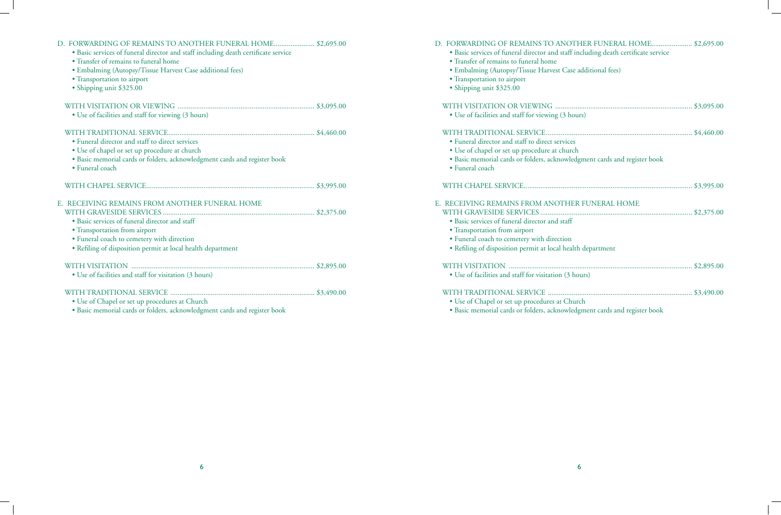| D. FORWARDING OF REMAINS TO ANOTHER FUNERAL HOME \$2,695.00<br>· Basic services of funeral director and staff including death certificate service<br>• Transfer of remains to funeral home<br>• Embalming (Autopsy/Tissue Harvest Case additional fees)<br>· Transportation to airport<br>· Shipping unit \$325.00 |  |
|--------------------------------------------------------------------------------------------------------------------------------------------------------------------------------------------------------------------------------------------------------------------------------------------------------------------|--|
|                                                                                                                                                                                                                                                                                                                    |  |
| • Use of facilities and staff for viewing (3 hours)                                                                                                                                                                                                                                                                |  |
| • Funeral director and staff to direct services<br>• Use of chapel or set up procedure at church                                                                                                                                                                                                                   |  |
| · Basic memorial cards or folders, acknowledgment cards and register book<br>· Funeral coach                                                                                                                                                                                                                       |  |
|                                                                                                                                                                                                                                                                                                                    |  |
| E. RECEIVING REMAINS FROM ANOTHER FUNERAL HOME<br>• Basic services of funeral director and staff                                                                                                                                                                                                                   |  |
| · Transportation from airport                                                                                                                                                                                                                                                                                      |  |
| · Funeral coach to cemetery with direction<br>• Refiling of disposition permit at local health department                                                                                                                                                                                                          |  |
|                                                                                                                                                                                                                                                                                                                    |  |
| • Use of facilities and staff for visitation (3 hours)                                                                                                                                                                                                                                                             |  |
| • Use of Chapel or set up procedures at Church<br>· Basic memorial cards or folders, acknowledgment cards and register book                                                                                                                                                                                        |  |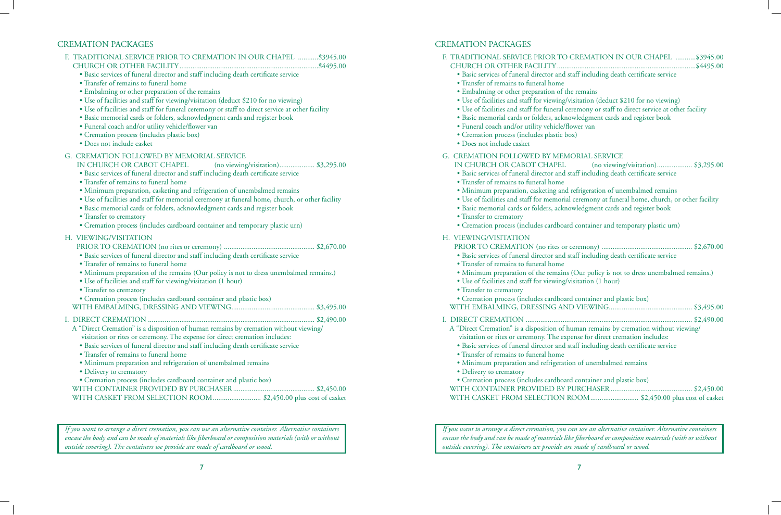## CREMATION PACKAGES

| F. TRADITIONAL SERVICE PRIOR TO CREMATION IN OUR CHAPEL  \$3945.00<br>· Basic services of funeral director and staff including death certificate service<br>• Transfer of remains to funeral home<br>• Embalming or other preparation of the remains<br>• Use of facilities and staff for viewing/visitation (deduct \$210 for no viewing)<br>• Use of facilities and staff for funeral ceremony or staff to direct service at other facility<br>· Basic memorial cards or folders, acknowledgment cards and register book<br>· Funeral coach and/or utility vehicle/flower van<br>· Cremation process (includes plastic box)<br>· Does not include casket |
|------------------------------------------------------------------------------------------------------------------------------------------------------------------------------------------------------------------------------------------------------------------------------------------------------------------------------------------------------------------------------------------------------------------------------------------------------------------------------------------------------------------------------------------------------------------------------------------------------------------------------------------------------------|
| G. CREMATION FOLLOWED BY MEMORIAL SERVICE<br>IN CHURCH OR CABOT CHAPEL<br>(no viewing/visitation) \$3,295.00<br>· Basic services of funeral director and staff including death certificate service<br>• Transfer of remains to funeral home<br>· Minimum preparation, casketing and refrigeration of unembalmed remains<br>• Use of facilities and staff for memorial ceremony at funeral home, church, or other facility<br>· Basic memorial cards or folders, acknowledgment cards and register book<br>• Transfer to crematory<br>• Cremation process (includes cardboard container and temporary plastic urn)                                          |
| H. VIEWING/VISITATION<br>· Basic services of funeral director and staff including death certificate service<br>• Transfer of remains to funeral home<br>• Minimum preparation of the remains (Our policy is not to dress unembalmed remains.)<br>• Use of facilities and staff for viewing/visitation (1 hour)<br>• Transfer to crematory<br>• Cremation process (includes cardboard container and plastic box)                                                                                                                                                                                                                                            |
| A "Direct Cremation" is a disposition of human remains by cremation without viewing/<br>visitation or rites or ceremony. The expense for direct cremation includes:<br>· Basic services of funeral director and staff including death certificate service<br>• Transfer of remains to funeral home<br>· Minimum preparation and refrigeration of unembalmed remains<br>• Delivery to crematory<br>• Cremation process (includes cardboard container and plastic box)<br>WITH CASKET FROM SELECTION ROOM \$2,450.00 plus cost of casket                                                                                                                     |

*If you want to arrange a direct cremation, you can use an alternative container. Alternative containers encase the body and can be made of materials like fiberboard or composition materials (with or without outside covering). The containers we provide are made of cardboard or wood.*